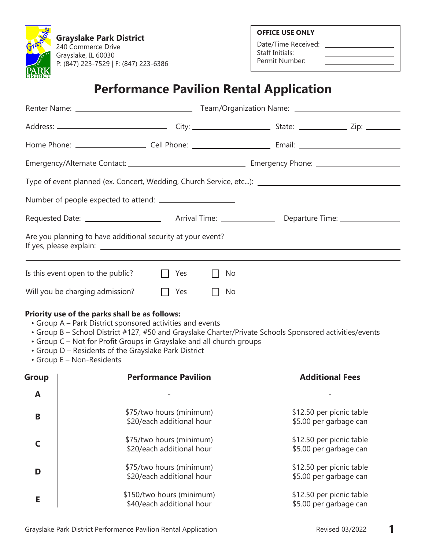**Grayslake Park District** 240 Commerce Drive Grayslake, IL 60030 P: (847) 223-7529 | F: (847) 223-6386 **OFFICE USE ONLY**

Date/Time Received: \_ Staff Initials: Permit Number:

## **Performance Pavilion Rental Application**

|              |                                                                                                                                                                                                                                                                                                                                                                                     | Type of event planned (ex. Concert, Wedding, Church Service, etc): [149] Type of event planned (ex. Concert, Wedding, Church Service, etc): [24] Type of events are not all that the service of the service of the servi |
|--------------|-------------------------------------------------------------------------------------------------------------------------------------------------------------------------------------------------------------------------------------------------------------------------------------------------------------------------------------------------------------------------------------|--------------------------------------------------------------------------------------------------------------------------------------------------------------------------------------------------------------------------|
|              |                                                                                                                                                                                                                                                                                                                                                                                     |                                                                                                                                                                                                                          |
|              |                                                                                                                                                                                                                                                                                                                                                                                     |                                                                                                                                                                                                                          |
|              | Are you planning to have additional security at your event?                                                                                                                                                                                                                                                                                                                         |                                                                                                                                                                                                                          |
|              | Is this event open to the public?<br>Yes                                                                                                                                                                                                                                                                                                                                            | No                                                                                                                                                                                                                       |
|              | Will you be charging admission?<br>Yes                                                                                                                                                                                                                                                                                                                                              | No                                                                                                                                                                                                                       |
|              | Priority use of the parks shall be as follows:<br>• Group A – Park District sponsored activities and events<br>• Group B - School District #127, #50 and Grayslake Charter/Private Schools Sponsored activities/events<br>• Group C - Not for Profit Groups in Grayslake and all church groups<br>• Group D - Residents of the Grayslake Park District<br>• Group E - Non-Residents |                                                                                                                                                                                                                          |
| <b>Group</b> | <b>Performance Pavilion</b>                                                                                                                                                                                                                                                                                                                                                         | <b>Additional Fees</b>                                                                                                                                                                                                   |
| A            |                                                                                                                                                                                                                                                                                                                                                                                     |                                                                                                                                                                                                                          |
| B            | \$75/two hours (minimum)<br>\$20/each additional hour                                                                                                                                                                                                                                                                                                                               | \$12.50 per picnic table<br>\$5.00 per garbage can                                                                                                                                                                       |
| C            | \$75/two hours (minimum)<br>\$20/each additional hour                                                                                                                                                                                                                                                                                                                               | \$12.50 per picnic table<br>\$5.00 per garbage can                                                                                                                                                                       |
| D            | \$75/two hours (minimum)<br>\$20/each additional hour                                                                                                                                                                                                                                                                                                                               | \$12.50 per picnic table<br>\$5.00 per garbage can                                                                                                                                                                       |
| Е            | \$150/two hours (minimum)<br>\$40/each additional hour                                                                                                                                                                                                                                                                                                                              | \$12.50 per picnic table<br>\$5.00 per garbage can                                                                                                                                                                       |
|              |                                                                                                                                                                                                                                                                                                                                                                                     |                                                                                                                                                                                                                          |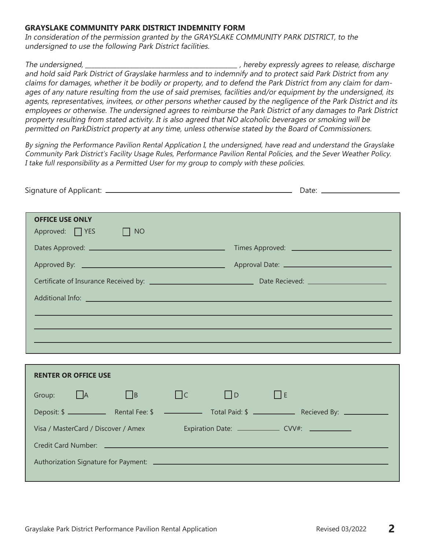### **GRAYSLAKE COMMUNITY PARK DISTRICT INDEMNITY FORM**

In consideration of the permission granted by the GRAYSLAKE COMMUNITY PARK DISTRICT, to the undersigned to use the following Park District facilities.

The undersigned, the undersigned, the state of the state of the state of the state of the state of the state of the state of the state of the state of the state of the state of the state of the state of the state of the st and hold said Park District of Grayslake harmless and to indemnify and to protect said Park District from any claims for damages, whether it be bodily or property, and to defend the Park District from any claim for damages of any nature resulting from the use of said premises, facilities and/or equipment by the undersigned, its agents, representatives, invitees, or other persons whether caused by the negligence of the Park District and its employees or otherwise. The undersigned agrees to reimburse the Park District of any damages to Park District property resulting from stated activity. It is also agreed that NO alcoholic beverages or smoking will be permitted on ParkDistrict property at any time, unless otherwise stated by the Board of Commissioners.

By signing the Performance Pavilion Rental Application I, the undersigned, have read and understand the Grayslake Community Park District's Facility Usage Rules, Performance Pavilion Rental Policies, and the Sever Weather Policy. I take full responsibility as a Permitted User for my group to comply with these policies.

| <b>OFFICE USE ONLY</b>              |                                                              |
|-------------------------------------|--------------------------------------------------------------|
| Approved: $\Box$ YES<br>$\Box$ NO   |                                                              |
|                                     |                                                              |
|                                     |                                                              |
|                                     |                                                              |
|                                     |                                                              |
|                                     |                                                              |
|                                     |                                                              |
|                                     |                                                              |
|                                     |                                                              |
|                                     |                                                              |
| <b>RENTER OR OFFICE USE</b>         |                                                              |
| Group: $\Box$ A<br>$\Box$ B         | $\Box$ c<br>$\Box$ D<br>$\Box$ E                             |
|                                     |                                                              |
| Visa / MasterCard / Discover / Amex | Expiration Date: _____________________ CVV#: _______________ |
|                                     |                                                              |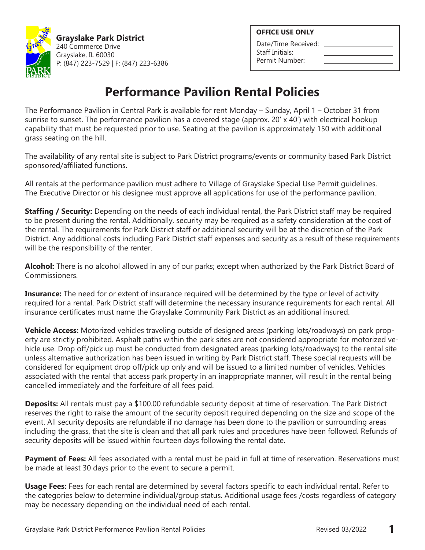

**Grayslake Park District** 240 Commerce Drive Grayslake, IL 60030 P: (847) 223-7529 | F: (847) 223-6386 **OFFICE USE ONLY**

Date/Time Received: Staff Initials: Permit Number:

# **Performance Pavilion Rental Policies**

The Performance Pavilion in Central Park is available for rent Monday – Sunday, April 1 – October 31 from sunrise to sunset. The performance pavilion has a covered stage (approx.  $20' \times 40'$ ) with electrical hookup capability that must be requested prior to use. Seating at the pavilion is approximately 150 with additional grass seating on the hill.

The availability of any rental site is subject to Park District programs/events or community based Park District sponsored/affiliated functions.

All rentals at the performance pavilion must adhere to Village of Grayslake Special Use Permit guidelines. The Executive Director or his designee must approve all applications for use of the performance pavilion.

**Staffing / Security:** Depending on the needs of each individual rental, the Park District staff may be required to be present during the rental. Additionally, security may be required as a safety consideration at the cost of the rental. The requirements for Park District staff or additional security will be at the discretion of the Park District. Any additional costs including Park District staff expenses and security as a result of these requirements will be the responsibility of the renter.

**Alcohol:** There is no alcohol allowed in any of our parks; except when authorized by the Park District Board of Commissioners.

**Insurance:** The need for or extent of insurance required will be determined by the type or level of activity required for a rental. Park District staff will determine the necessary insurance requirements for each rental. All insurance certificates must name the Grayslake Community Park District as an additional insured.

**Vehicle Access:** Motorized vehicles traveling outside of designed areas (parking lots/roadways) on park property are strictly prohibited. Asphalt paths within the park sites are not considered appropriate for motorized vehicle use. Drop off/pick up must be conducted from designated areas (parking lots/roadways) to the rental site unless alternative authorization has been issued in writing by Park District staff. These special requests will be considered for equipment drop off/pick up only and will be issued to a limited number of vehicles. Vehicles associated with the rental that access park property in an inappropriate manner, will result in the rental being cancelled immediately and the forfeiture of all fees paid.

**Deposits:** All rentals must pay a \$100.00 refundable security deposit at time of reservation. The Park District reserves the right to raise the amount of the security deposit required depending on the size and scope of the event. All security deposits are refundable if no damage has been done to the pavilion or surrounding areas including the grass, that the site is clean and that all park rules and procedures have been followed. Refunds of security deposits will be issued within fourteen days following the rental date.

**Payment of Fees:** All fees associated with a rental must be paid in full at time of reservation. Reservations must be made at least 30 days prior to the event to secure a permit.

**Usage Fees:** Fees for each rental are determined by several factors specific to each individual rental. Refer to the categories below to determine individual/group status. Additional usage fees /costs regardless of category may be necessary depending on the individual need of each rental.